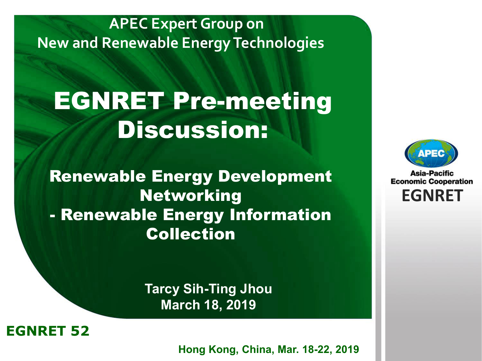#### **APEC Expert Group on New and Renewable Energy Technologies**

# EGNRET Pre-meeting Discussion:

Renewable Energy Development Networking - Renewable Energy Information Collection

> **Tarcy Sih-Ting Jhou March 18, 2019**



**EWG 40** *Brunei Darussalam* **22-26 November, 2010 Hong Kong, China, Mar. 18-22, 2019**



Asia-Pacific **Economic Cooperation EGNRET EGNRET**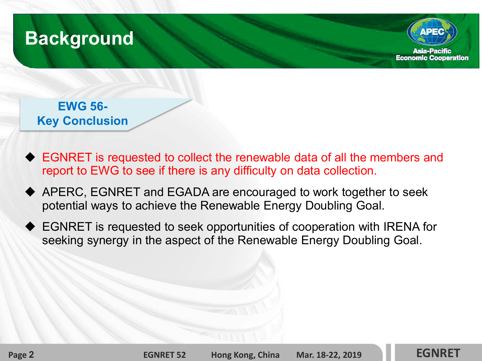



**EWG 56- Key Conclusion**

- ◆ EGNRET is requested to collect the renewable data of all the members and report to EWG to see if there is any difficulty on data collection.
- APERC, EGNRET and EGADA are encouraged to work together to seek potential ways to achieve the Renewable Energy Doubling Goal.
- EGNRET is requested to seek opportunities of cooperation with IRENA for seeking synergy in the aspect of the Renewable Energy Doubling Goal.

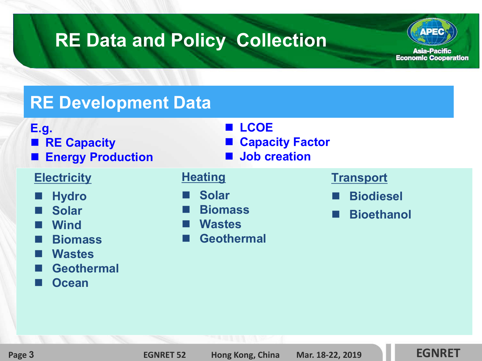

#### **RE Development Data**

- **E.g.**
- **RE Capacity**
- **Energy Production**

#### **Electricity**

- **Hydro**
- **Solar**
- **Wind**
- **Biomass**
- **Wastes**
- **Geothermal**
- **Ocean**
- **LCOE** ■ Capacity **Factor** ■ **Job creation**
- 

#### **Heating**

- **Solar**
- **Biomass**
- **Wastes**
- **Geothermal**

#### **Transport**

- **Biodiesel**
- **Bioethanol**

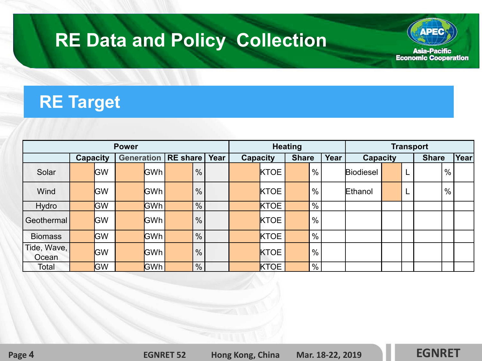

### **RE Target**

| <b>Power</b>         |          |            |                              |            |      |               |          | <b>Heating</b> |              |  |               | <b>Transport</b> |                  |              |   |      |      |  |
|----------------------|----------|------------|------------------------------|------------|------|---------------|----------|----------------|--------------|--|---------------|------------------|------------------|--------------|---|------|------|--|
|                      | Capacity |            | <b>Generation   RE share</b> |            | Year |               | Capacity |                | <b>Share</b> |  | Year          | <b>Capacity</b>  |                  | <b>Share</b> |   | Year |      |  |
| Solar                |          | <b>GW</b>  |                              | <b>GWh</b> |      | $\%$          |          |                | <b>KTOE</b>  |  | $\frac{0}{0}$ |                  | <b>Biodiesel</b> |              |   |      | $\%$ |  |
| Wind                 |          | <b>IGW</b> |                              | <b>GWh</b> |      | $\frac{0}{0}$ |          |                | <b>KTOE</b>  |  | $\frac{0}{0}$ |                  | Ethanol          |              | ┕ |      | $\%$ |  |
| Hydro                |          | <b>GW</b>  |                              | lGWh ∣     |      | $\frac{0}{0}$ |          |                | <b>KTOE</b>  |  | $\%$          |                  |                  |              |   |      |      |  |
| l Geothermal         |          | GW         |                              | lGWh l     |      | $\frac{0}{0}$ |          |                | <b>KTOE</b>  |  | $\frac{0}{0}$ |                  |                  |              |   |      |      |  |
| <b>Biomass</b>       |          | GW         |                              | <b>GWh</b> |      | $\%$          |          |                | <b>KTOE</b>  |  | $\%$          |                  |                  |              |   |      |      |  |
| Tide, Wave,<br>Ocean |          | <b>GW</b>  |                              | <b>GWh</b> |      | $\frac{0}{0}$ |          |                | <b>KTOE</b>  |  | $\%$          |                  |                  |              |   |      |      |  |
| Total                |          | GW         |                              | <b>GWh</b> |      | %             |          |                | <b>KTOE</b>  |  | $\frac{9}{6}$ |                  |                  |              |   |      |      |  |

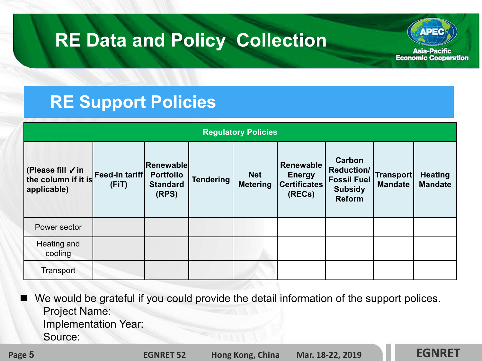

#### **RE Support Policies**

| <b>Regulatory Policies</b>                                            |       |                                                                  |                  |                               |                                                      |                                                                                      |                             |                                  |  |  |  |
|-----------------------------------------------------------------------|-------|------------------------------------------------------------------|------------------|-------------------------------|------------------------------------------------------|--------------------------------------------------------------------------------------|-----------------------------|----------------------------------|--|--|--|
| (Please fill √in<br>the column if it is Feed-in tariff<br>applicable) | (FIT) | <b>Renewable</b><br><b>Portfolio</b><br><b>Standard</b><br>(RPS) | <b>Tendering</b> | <b>Net</b><br><b>Metering</b> | Renewable<br><b>Energy</b><br>Certificates<br>(RECs) | Carbon<br><b>Reduction/</b><br><b>Fossil Fuel</b><br><b>Subsidy</b><br><b>Reform</b> | Transport<br><b>Mandate</b> | <b>Heating</b><br><b>Mandate</b> |  |  |  |
| Power sector                                                          |       |                                                                  |                  |                               |                                                      |                                                                                      |                             |                                  |  |  |  |
| Heating and<br>cooling                                                |       |                                                                  |                  |                               |                                                      |                                                                                      |                             |                                  |  |  |  |
| Transport                                                             |       |                                                                  |                  |                               |                                                      |                                                                                      |                             |                                  |  |  |  |

 We would be grateful if you could provide the detail information of the support polices. Project Name: Implementation Year: Source:

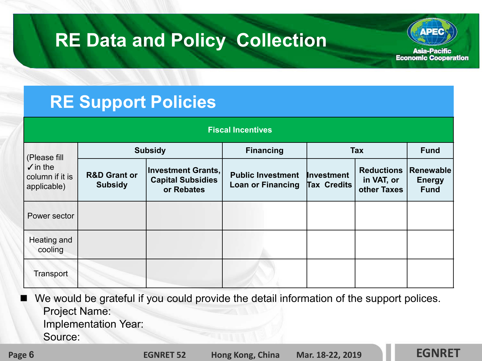

#### **RE Support Policies**

| <b>Fiscal Incentives</b>                                           |                                           |                                                                     |                                                      |                           |                                                |                                           |  |  |  |  |  |
|--------------------------------------------------------------------|-------------------------------------------|---------------------------------------------------------------------|------------------------------------------------------|---------------------------|------------------------------------------------|-------------------------------------------|--|--|--|--|--|
| (Please fill<br>$\sqrt{}$ in the<br>column if it is<br>applicable) |                                           | <b>Subsidy</b>                                                      | <b>Financing</b>                                     | <b>Tax</b>                | <b>Fund</b>                                    |                                           |  |  |  |  |  |
|                                                                    | <b>R&amp;D Grant or</b><br><b>Subsidy</b> | <b>Investment Grants,</b><br><b>Capital Subsidies</b><br>or Rebates | <b>Public Investment</b><br><b>Loan or Financing</b> | Investment<br>Tax Credits | <b>Reductions</b><br>in VAT, or<br>other Taxes | Renewable<br><b>Energy</b><br><b>Fund</b> |  |  |  |  |  |
| Power sector                                                       |                                           |                                                                     |                                                      |                           |                                                |                                           |  |  |  |  |  |
| Heating and<br>cooling                                             |                                           |                                                                     |                                                      |                           |                                                |                                           |  |  |  |  |  |
| Transport                                                          |                                           |                                                                     |                                                      |                           |                                                |                                           |  |  |  |  |  |

 We would be grateful if you could provide the detail information of the support polices. Project Name: Implementation Year:

Source:

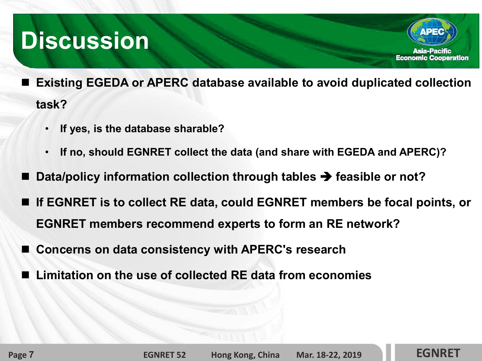## **Discussion**

- **Existing EGEDA or APERC database available to avoid duplicated collection task?**
	- **If yes, is the database sharable?**
	- **If no, should EGNRET collect the data (and share with EGEDA and APERC)?**
- **Data/policy information collection through tables → feasible or not?**
- **If EGNRET is to collect RE data, could EGNRET members be focal points, or EGNRET members recommend experts to form an RE network?**
- **Concerns on data consistency with APERC's research**
- **Limitation on the use of collected RE data from economies**

**Page 7 EGNRET 52 Hong Kong, China Mar. 18 18-22, 2019 22, EGNRET**



**Asia-Pacific Economic Cooperation**